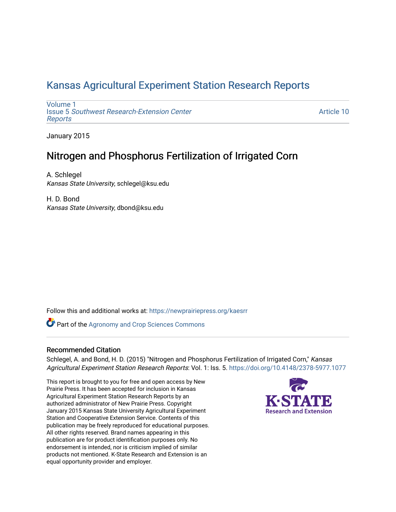## [Kansas Agricultural Experiment Station Research Reports](https://newprairiepress.org/kaesrr)

[Volume 1](https://newprairiepress.org/kaesrr/vol1) Issue 5 [Southwest Research-Extension Center](https://newprairiepress.org/kaesrr/vol1/iss5)  [Reports](https://newprairiepress.org/kaesrr/vol1/iss5)

[Article 10](https://newprairiepress.org/kaesrr/vol1/iss5/10) 

January 2015

## Nitrogen and Phosphorus Fertilization of Irrigated Corn

A. Schlegel Kansas State University, schlegel@ksu.edu

H. D. Bond Kansas State University, dbond@ksu.edu

Follow this and additional works at: [https://newprairiepress.org/kaesrr](https://newprairiepress.org/kaesrr?utm_source=newprairiepress.org%2Fkaesrr%2Fvol1%2Fiss5%2F10&utm_medium=PDF&utm_campaign=PDFCoverPages) 

Part of the [Agronomy and Crop Sciences Commons](http://network.bepress.com/hgg/discipline/103?utm_source=newprairiepress.org%2Fkaesrr%2Fvol1%2Fiss5%2F10&utm_medium=PDF&utm_campaign=PDFCoverPages) 

### Recommended Citation

Schlegel, A. and Bond, H. D. (2015) "Nitrogen and Phosphorus Fertilization of Irrigated Corn," Kansas Agricultural Experiment Station Research Reports: Vol. 1: Iss. 5.<https://doi.org/10.4148/2378-5977.1077>

This report is brought to you for free and open access by New Prairie Press. It has been accepted for inclusion in Kansas Agricultural Experiment Station Research Reports by an authorized administrator of New Prairie Press. Copyright January 2015 Kansas State University Agricultural Experiment Station and Cooperative Extension Service. Contents of this publication may be freely reproduced for educational purposes. All other rights reserved. Brand names appearing in this publication are for product identification purposes only. No endorsement is intended, nor is criticism implied of similar products not mentioned. K-State Research and Extension is an equal opportunity provider and employer.

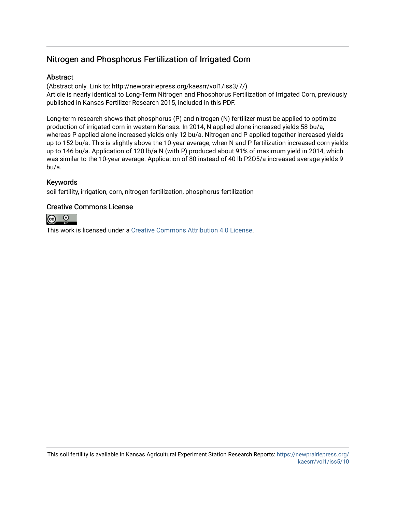## Nitrogen and Phosphorus Fertilization of Irrigated Corn

### **Abstract**

(Abstract only. Link to: http://newprairiepress.org/kaesrr/vol1/iss3/7/) Article is nearly identical to Long-Term Nitrogen and Phosphorus Fertilization of Irrigated Corn, previously published in Kansas Fertilizer Research 2015, included in this PDF.

Long-term research shows that phosphorus (P) and nitrogen (N) fertilizer must be applied to optimize production of irrigated corn in western Kansas. In 2014, N applied alone increased yields 58 bu/a, whereas P applied alone increased yields only 12 bu/a. Nitrogen and P applied together increased yields up to 152 bu/a. This is slightly above the 10-year average, when N and P fertilization increased corn yields up to 146 bu/a. Application of 120 lb/a N (with P) produced about 91% of maximum yield in 2014, which was similar to the 10-year average. Application of 80 instead of 40 lb P2O5/a increased average yields 9 bu/a.

### Keywords

soil fertility, irrigation, corn, nitrogen fertilization, phosphorus fertilization

### Creative Commons License



This work is licensed under a [Creative Commons Attribution 4.0 License](https://creativecommons.org/licenses/by/4.0/).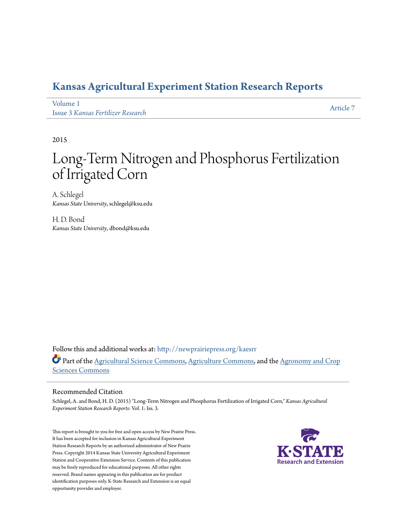## **[Kansas Agricultural Experiment Station Research Reports](http://newprairiepress.org/kaesrr?utm_source=newprairiepress.org%2Fkaesrr%2Fvol1%2Fiss3%2F7&utm_medium=PDF&utm_campaign=PDFCoverPages)**

[Volume 1](http://newprairiepress.org/kaesrr/vol1?utm_source=newprairiepress.org%2Fkaesrr%2Fvol1%2Fiss3%2F7&utm_medium=PDF&utm_campaign=PDFCoverPages) Issue 3 *[Kansas Fertilizer Research](http://newprairiepress.org/kaesrr/vol1/iss3?utm_source=newprairiepress.org%2Fkaesrr%2Fvol1%2Fiss3%2F7&utm_medium=PDF&utm_campaign=PDFCoverPages)*

[Article 7](http://newprairiepress.org/kaesrr/vol1/iss3/7?utm_source=newprairiepress.org%2Fkaesrr%2Fvol1%2Fiss3%2F7&utm_medium=PDF&utm_campaign=PDFCoverPages)

2015

# Long-Term Nitrogen and Phosphorus Fertilization of Irrigated Corn

A. Schlegel *Kansas State University*, schlegel@ksu.edu

H. D. Bond *Kansas State University*, dbond@ksu.edu

Follow this and additional works at: [http://newprairiepress.org/kaesrr](http://newprairiepress.org/kaesrr?utm_source=newprairiepress.org%2Fkaesrr%2Fvol1%2Fiss3%2F7&utm_medium=PDF&utm_campaign=PDFCoverPages) Part of the [Agricultural Science Commons](http://network.bepress.com/hgg/discipline/1063?utm_source=newprairiepress.org%2Fkaesrr%2Fvol1%2Fiss3%2F7&utm_medium=PDF&utm_campaign=PDFCoverPages), [Agriculture Commons,](http://network.bepress.com/hgg/discipline/1076?utm_source=newprairiepress.org%2Fkaesrr%2Fvol1%2Fiss3%2F7&utm_medium=PDF&utm_campaign=PDFCoverPages) and the [Agronomy and Crop](http://network.bepress.com/hgg/discipline/103?utm_source=newprairiepress.org%2Fkaesrr%2Fvol1%2Fiss3%2F7&utm_medium=PDF&utm_campaign=PDFCoverPages) [Sciences Commons](http://network.bepress.com/hgg/discipline/103?utm_source=newprairiepress.org%2Fkaesrr%2Fvol1%2Fiss3%2F7&utm_medium=PDF&utm_campaign=PDFCoverPages)

### Recommended Citation

Schlegel, A. and Bond, H. D. (2015) "Long-Term Nitrogen and Phosphorus Fertilization of Irrigated Corn," *Kansas Agricultural Experiment Station Research Reports*: Vol. 1: Iss. 3.

This report is brought to you for free and open access by New Prairie Press. It has been accepted for inclusion in Kansas Agricultural Experiment Station Research Reports by an authorized administrator of New Prairie Press. Copyright 2014 Kansas State University Agricultural Experiment Station and Cooperative Extension Service. Contents of this publication may be freely reproduced for educational purposes. All other rights reserved. Brand names appearing in this publication are for product identification purposes only. K-State Research and Extension is an equal opportunity provider and employer.

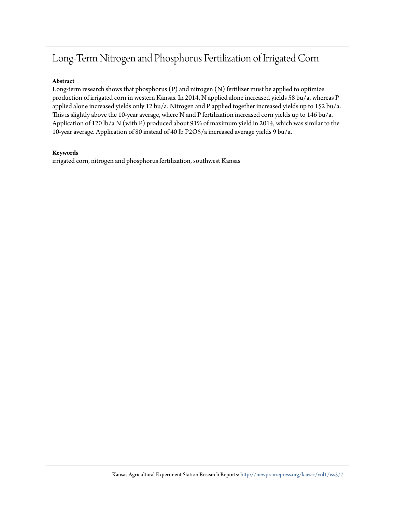## Long-Term Nitrogen and Phosphorus Fertilization of Irrigated Corn

#### **Abstract**

Long-term research shows that phosphorus (P) and nitrogen (N) fertilizer must be applied to optimize production of irrigated corn in western Kansas. In 2014, N applied alone increased yields 58 bu/a, whereas P applied alone increased yields only 12 bu/a. Nitrogen and P applied together increased yields up to 152 bu/a. This is slightly above the 10-year average, where N and P fertilization increased corn yields up to 146 bu/a. Application of 120 lb/a N (with P) produced about 91% of maximum yield in 2014, which was similar to the 10-year average. Application of 80 instead of 40 lb P2O5/a increased average yields 9 bu/a.

#### **Keywords**

irrigated corn, nitrogen and phosphorus fertilization, southwest Kansas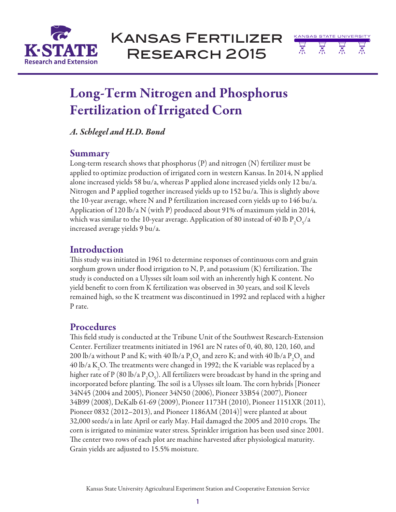



# Long-Term Nitrogen and Phosphorus Fertilization of Irrigated Corn

*A. Schlegel and H.D. Bond*

### **Summary**

Long-term research shows that phosphorus (P) and nitrogen (N) fertilizer must be applied to optimize production of irrigated corn in western Kansas. In 2014, N applied alone increased yields 58 bu/a, whereas P applied alone increased yields only 12 bu/a. Nitrogen and P applied together increased yields up to 152 bu/a. This is slightly above the 10-year average, where N and P fertilization increased corn yields up to 146 bu/a. Application of 120 lb/a N (with P) produced about 91% of maximum yield in 2014, which was similar to the 10-year average. Application of 80 instead of 40 lb  $\rm P_2O_5/a$ increased average yields 9 bu/a.

### Introduction

This study was initiated in 1961 to determine responses of continuous corn and grain sorghum grown under flood irrigation to N, P, and potassium (K) fertilization. The study is conducted on a Ulysses silt loam soil with an inherently high K content. No yield benefit to corn from K fertilization was observed in 30 years, and soil K levels remained high, so the K treatment was discontinued in 1992 and replaced with a higher P rate.

### Procedures

This field study is conducted at the Tribune Unit of the Southwest Research-Extension Center. Fertilizer treatments initiated in 1961 are N rates of 0, 40, 80, 120, 160, and 200 lb/a without P and K; with 40 lb/a  $P_2O_5$  and zero K; and with 40 lb/a  $P_2O_5$  and 40 lb/a K<sub>2</sub>O. The treatments were changed in 1992; the K variable was replaced by a higher rate of P (80 lb/a P<sub>2</sub>O<sub>5</sub>). All fertilizers were broadcast by hand in the spring and incorporated before planting. The soil is a Ulysses silt loam. The corn hybrids [Pioneer 34N45 (2004 and 2005), Pioneer 34N50 (2006), Pioneer 33B54 (2007), Pioneer 34B99 (2008), DeKalb 61-69 (2009), Pioneer 1173H (2010), Pioneer 1151XR (2011), Pioneer 0832 (2012–2013), and Pioneer 1186AM (2014)] were planted at about 32,000 seeds/a in late April or early May. Hail damaged the 2005 and 2010 crops. The corn is irrigated to minimize water stress. Sprinkler irrigation has been used since 2001. The center two rows of each plot are machine harvested after physiological maturity. Grain yields are adjusted to 15.5% moisture.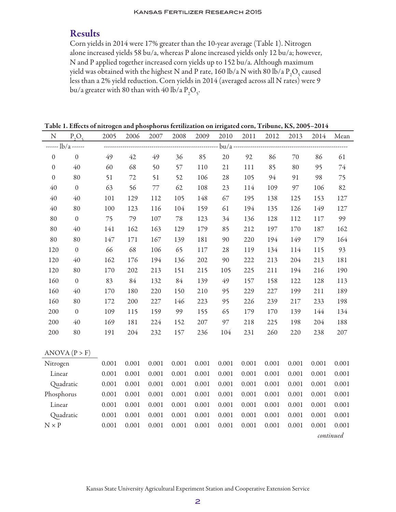### Results

Corn yields in 2014 were 17% greater than the 10-year average (Table 1). Nitrogen alone increased yields 58 bu/a, whereas P alone increased yields only 12 bu/a; however, N and P applied together increased corn yields up to 152 bu/a. Although maximum yield was obtained with the highest N and P rate, 160 lb/a N with 80 lb/a  $\rm P_2O_5$  caused less than a 2% yield reduction. Corn yields in 2014 (averaged across all N rates) were 9 bu/a greater with 80 than with 40 lb/a  $\rm P_2O_5$ .

Table 1. Effects of nitrogen and phosphorus fertilization on irrigated corn, Tribune, KS, 2005–2014

| $N_{\rm}$     | $P_2O_5$         | 2005    | 2006  | 2007  | 2008   | 2009    | 2010   | 2011  | 2012  | 2013  | 2014      | Mean   |  |  |
|---------------|------------------|---------|-------|-------|--------|---------|--------|-------|-------|-------|-----------|--------|--|--|
|               | $--- lb/a$ $---$ |         |       |       |        |         |        |       |       |       |           |        |  |  |
| $\mathbf{0}$  | $\mathbf{0}$     | 49      | 42    | 49    | 36     | 85      | 20     | 92    | 86    | 70    | 86        | 61     |  |  |
| $\mathbf{0}$  | 40               | 60      | 68    | 50    | 57     | 110     | $21\,$ | 111   | 85    | 80    | 95        | $74\,$ |  |  |
| $\mathbf{0}$  | 80               | 51      | 72    | 51    | 52     | 106     | $28\,$ | 105   | 94    | 91    | 98        | 75     |  |  |
| $40\,$        | $\boldsymbol{0}$ | 63      | 56    | 77    | 62     | 108     | 23     | 114   | 109   | 97    | 106       | 82     |  |  |
| 40            | 40               | $101\,$ | 129   | 112   | 105    | 148     | 67     | 195   | 138   | 125   | 153       | 127    |  |  |
| 40            | 80               | 100     | 123   | 116   | 104    | 159     | 61     | 194   | 135   | 126   | 149       | 127    |  |  |
| 80            | $\boldsymbol{0}$ | 75      | 79    | 107   | $78\,$ | 123     | 34     | 136   | 128   | 112   | $117\,$   | 99     |  |  |
| 80            | 40               | 141     | 162   | 163   | 129    | 179     | 85     | 212   | 197   | 170   | 187       | 162    |  |  |
| 80            | 80               | 147     | 171   | 167   | 139    | 181     | 90     | 220   | 194   | 149   | 179       | 164    |  |  |
| 120           | $\boldsymbol{0}$ | 66      | 68    | 106   | 65     | $117\,$ | $28\,$ | 119   | 134   | 114   | 115       | 93     |  |  |
| 120           | 40               | 162     | 176   | 194   | 136    | 202     | 90     | 222   | 213   | 204   | 213       | 181    |  |  |
| 120           | 80               | 170     | 202   | 213   | 151    | 215     | 105    | 225   | 211   | 194   | 216       | 190    |  |  |
| 160           | $\mathbf{0}$     | 83      | 84    | 132   | 84     | 139     | 49     | 157   | 158   | 122   | 128       | 113    |  |  |
| 160           | 40               | 170     | 180   | 220   | 150    | 210     | 95     | 229   | 227   | 199   | 211       | 189    |  |  |
| 160           | 80               | 172     | 200   | 227   | 146    | 223     | 95     | 226   | 239   | 217   | 233       | 198    |  |  |
| 200           | $\mathbf{0}$     | 109     | 115   | 159   | 99     | 155     | 65     | 179   | 170   | 139   | 144       | 134    |  |  |
| 200           | 40               | 169     | 181   | 224   | 152    | 207     | 97     | 218   | 225   | 198   | 204       | 188    |  |  |
| 200           | 80               | 191     | 204   | 232   | 157    | 236     | 104    | 231   | 260   | 220   | 238       | 207    |  |  |
|               |                  |         |       |       |        |         |        |       |       |       |           |        |  |  |
| ANOVA (P > F) |                  |         |       |       |        |         |        |       |       |       |           |        |  |  |
| Nitrogen      |                  | 0.001   | 0.001 | 0.001 | 0.001  | 0.001   | 0.001  | 0.001 | 0.001 | 0.001 | 0.001     | 0.001  |  |  |
| Linear        |                  | 0.001   | 0.001 | 0.001 | 0.001  | 0.001   | 0.001  | 0.001 | 0.001 | 0.001 | 0.001     | 0.001  |  |  |
| Quadratic     |                  | 0.001   | 0.001 | 0.001 | 0.001  | 0.001   | 0.001  | 0.001 | 0.001 | 0.001 | 0.001     | 0.001  |  |  |
| Phosphorus    |                  | 0.001   | 0.001 | 0.001 | 0.001  | 0.001   | 0.001  | 0.001 | 0.001 | 0.001 | 0.001     | 0.001  |  |  |
| Linear        |                  | 0.001   | 0.001 | 0.001 | 0.001  | 0.001   | 0.001  | 0.001 | 0.001 | 0.001 | 0.001     | 0.001  |  |  |
| Quadratic     |                  | 0.001   | 0.001 | 0.001 | 0.001  | 0.001   | 0.001  | 0.001 | 0.001 | 0.001 | 0.001     | 0.001  |  |  |
| $N \times P$  |                  | 0.001   | 0.001 | 0.001 | 0.001  | 0.001   | 0.001  | 0.001 | 0.001 | 0.001 | 0.001     | 0.001  |  |  |
|               |                  |         |       |       |        |         |        |       |       |       | continued |        |  |  |